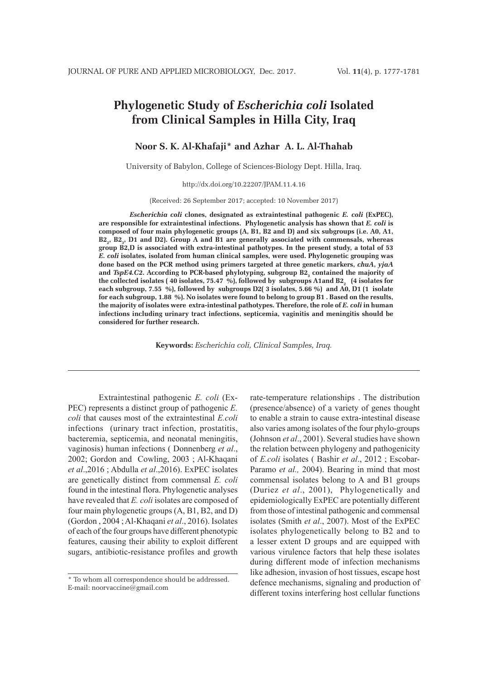# **Phylogenetic Study of** *Escherichia coli* **Isolated from Clinical Samples in Hilla City, Iraq**

**Noor S. K. Al-Khafaji\* and Azhar A. L. Al-Thahab**

University of Babylon, College of Sciences-Biology Dept. Hilla, Iraq.

http://dx.doi.org/10.22207/JPAM.11.4.16

(Received: 26 September 2017; accepted: 10 November 2017)

*Escherichia coli* **clones, designated as extraintestinal pathogenic** *E. coli* **(ExPEC), are responsible for extraintestinal infections. Phylogenetic analysis has shown that** *E. coli* **is composed of four main phylogenetic groups (A, B1, B2 and D) and six subgroups (i.e. A0, A1,**  B2<sub>2</sub>, B2<sub>3</sub>, D1 and D2). Group A and B1 are generally associated with commensals, whereas **group B2,D is associated with extra-intestinal pathotypes. In the present study, a total of 53**  *E. coli* **isolates, isolated from human clinical samples, were used. Phylogenetic grouping was done based on the PCR method using primers targeted at three genetic markers,** *chuA***,** *yjaA*  and *TspE4.C2*. According to PCR-based phylotyping, subgroup B2<sub>3</sub> contained the majority of the collected isolates ( 40 isolates, 75.47 %), followed by  $\,$  subgroups A1and B2 $_{_{2}}\,$  (4 isolates for **each subgroup, 7.55 %), followed by subgroups D2( 3 isolates, 5.66 %) and A0, D1 (1 isolate for each subgroup, 1.88 %). No isolates were found to belong to group B1 . Based on the results, the majority of isolates were extra-intestinal pathotypes. Therefore, the role of** *E. coli* **in human infections including urinary tract infections, septicemia, vaginitis and meningitis should be considered for further research.**

**Keywords:** *Escherichia coli, Clinical Samples, Iraq.*

Extraintestinal pathogenic *E. coli* (Ex-PEC) represents a distinct group of pathogenic *E. coli* that causes most of the extraintestinal *E.coli*  infections (urinary tract infection, prostatitis, bacteremia, septicemia, and neonatal meningitis, vaginosis) human infections ( Donnenberg *et al*., 2002; Gordon and Cowling, 2003 ; Al-Khaqani *et al*.,2016 ; Abdulla *et al*.,2016). ExPEC isolates are genetically distinct from commensal *E. coli*  found in the intestinal flora. Phylogenetic analyses have revealed that *E. coli* isolates are composed of four main phylogenetic groups (A, B1, B2, and D) (Gordon , 2004 ; Al-Khaqani *et al*., 2016). Isolates of each of the four groups have different phenotypic features, causing their ability to exploit different sugars, antibiotic-resistance profiles and growth rate-temperature relationships . The distribution (presence/absence) of a variety of genes thought to enable a strain to cause extra-intestinal disease also varies among isolates of the four phylo-groups (Johnson *et al*., 2001). Several studies have shown the relation between phylogeny and pathogenicity of *E.coli* isolates ( Bashir *et al*., 2012 ; Escobar-Paramo *et al.,* 2004). Bearing in mind that most commensal isolates belong to A and B1 groups (Duriez *et al*., 2001), Phylogenetically and epidemiologically ExPEC are potentially different from those of intestinal pathogenic and commensal isolates (Smith *et al*., 2007). Most of the ExPEC isolates phylogenetically belong to B2 and to a lesser extent D groups and are equipped with various virulence factors that help these isolates during different mode of infection mechanisms like adhesion, invasion of host tissues, escape host defence mechanisms, signaling and production of different toxins interfering host cellular functions

<sup>\*</sup> To whom all correspondence should be addressed. E-mail: noorvaccine@gmail.com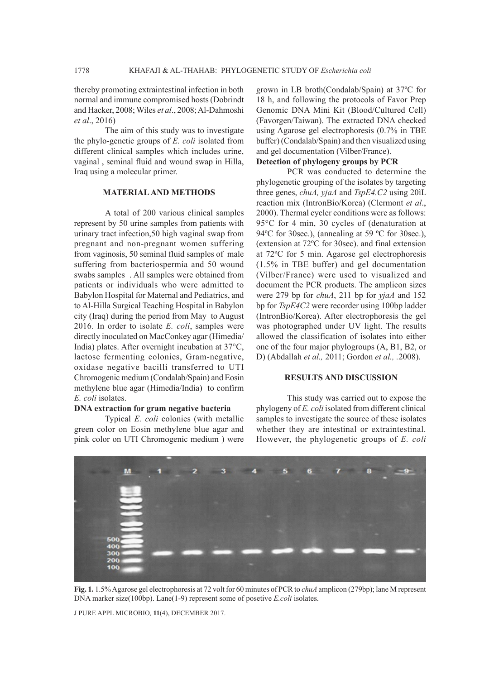thereby promoting extraintestinal infection in both normal and immune compromised hosts (Dobrindt and Hacker, 2008; Wiles *et al*., 2008; Al-Dahmoshi *et al*., 2016)

The aim of this study was to investigate the phylo-genetic groups of *E. coli* isolated from different clinical samples which includes urine, vaginal , seminal fluid and wound swap in Hilla, Iraq using a molecular primer.

## **MATERIAL AND METHODS**

A total of 200 various clinical samples represent by 50 urine samples from patients with urinary tract infection,50 high vaginal swap from pregnant and non-pregnant women suffering from vaginosis, 50 seminal fluid samples of male suffering from bacteriospermia and 50 wound swabs samples . All samples were obtained from patients or individuals who were admitted to Babylon Hospital for Maternal and Pediatrics, and to Al-Hilla Surgical Teaching Hospital in Babylon city (Iraq) during the period from May to August 2016. In order to isolate *E. coli*, samples were directly inoculated on MacConkey agar (Himedia/ India) plates. After overnight incubation at 37°C, lactose fermenting colonies, Gram-negative, oxidase negative bacilli transferred to UTI Chromogenic medium (Condalab/Spain) and Eosin methylene blue agar (Himedia/India) to confirm *E. coli* isolates.

#### **DNA extraction for gram negative bacteria**

Typical *E. coli* colonies (with metallic green color on Eosin methylene blue agar and pink color on UTI Chromogenic medium ) were

grown in LB broth(Condalab/Spain) at 37ºC for 18 h, and following the protocols of Favor Prep Genomic DNA Mini Kit (Blood/Cultured Cell) (Favorgen/Taiwan). The extracted DNA checked using Agarose gel electrophoresis (0.7% in TBE buffer) (Condalab/Spain) and then visualized using and gel documentation (Vilber/France).

# **Detection of phylogeny groups by PCR**

PCR was conducted to determine the phylogenetic grouping of the isolates by targeting three genes, *chuA, yjaA* and *TspE4.C2* using 20ìL reaction mix (IntronBio/Korea) (Clermont *et al*., 2000). Thermal cycler conditions were as follows: 95°C for 4 min, 30 cycles of (denaturation at 94°C for 30sec.), (annealing at 59 °C for 30sec.), (extension at 72ºC for 30sec). and final extension at 72ºC for 5 min. Agarose gel electrophoresis (1.5% in TBE buffer) and gel documentation (Vilber/France) were used to visualized and document the PCR products. The amplicon sizes were 279 bp for *chuA*, 211 bp for *yjaA* and 152 bp for *TspE4C2* were recorder using 100bp ladder (IntronBio/Korea). After electrophoresis the gel was photographed under UV light. The results allowed the classification of isolates into either one of the four major phylogroups (A, B1, B2, or D) (Abdallah *et al.,* 2011; Gordon *et al., .*2008).

## **RESULTS AND DISCUSSION**

This study was carried out to expose the phylogeny of *E. coli* isolated from different clinical samples to investigate the source of these isolates whether they are intestinal or extraintestinal. However, the phylogenetic groups of *E. coli*



**Fig. 1.** 1.5% Agarose gel electrophoresis at 72 volt for 60 minutes of PCR to *chuA* amplicon (279bp); lane M represent DNA marker size(100bp). Lane(1-9) represent some of posetive *E.coli* isolates.

J PURE APPL MICROBIO*,* **11**(4), DECEMBER 2017.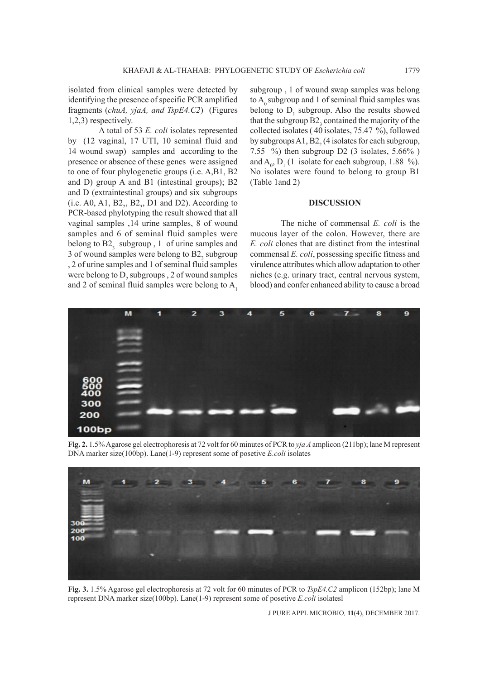isolated from clinical samples were detected by identifying the presence of specific PCR amplified fragments (*chuA, yjaA, and TspE4.C2*) (Figures 1,2,3) respectively.

A total of 53 *E. coli* isolates represented by (12 vaginal, 17 UTI, 10 seminal fluid and 14 wound swap) samples and according to the presence or absence of these genes were assigned to one of four phylogenetic groups (i.e. A,B1, B2 and D) group A and B1 (intestinal groups); B2 and D (extraintestinal groups) and six subgroups (i.e. A0, A1,  $B2<sub>2</sub>$ ,  $B2<sub>3</sub>$ , D1 and D2). According to PCR-based phylotyping the result showed that all vaginal samples ,14 urine samples, 8 of wound samples and 6 of seminal fluid samples were belong to  $B2<sub>3</sub>$  subgroup, 1 of urine samples and 3 of wound samples were belong to  $B2<sub>2</sub>$  subgroup , 2 of urine samples and 1 of seminal fluid samples were belong to  $D_2$  subgroups , 2 of wound samples and 2 of seminal fluid samples were belong to  $A_1$ 

subgroup , 1 of wound swap samples was belong to  $A_0$  subgroup and 1 of seminal fluid samples was belong to  $D_1$  subgroup. Also the results showed that the subgroup  $B2_3$  contained the majority of the collected isolates ( 40 isolates, 75.47 %), followed by subgroups  $A1, B2<sub>2</sub>$  (4 isolates for each subgroup, 7.55  $\%$ ) then subgroup D2 (3 isolates, 5.66%) and  $A_0$ ,  $D_1$  (1 isolate for each subgroup, 1.88 %). No isolates were found to belong to group B1 (Table 1and 2)

## **DISCUSSION**

The niche of commensal *E. coli* is the mucous layer of the colon. However, there are *E. coli* clones that are distinct from the intestinal commensal *E. coli*, possessing specific fitness and virulence attributes which allow adaptation to other niches (e.g. urinary tract, central nervous system, blood) and confer enhanced ability to cause a broad



**Fig. 2.** 1.5% Agarose gel electrophoresis at 72 volt for 60 minutes of PCR to *yja A* amplicon (211bp); lane M represent DNA marker size(100bp). Lane(1-9) represent some of posetive *E.coli* isolates



**Fig. 3.** 1.5% Agarose gel electrophoresis at 72 volt for 60 minutes of PCR to *TspE4.C2* amplicon (152bp); lane M represent DNA marker size(100bp). Lane(1-9) represent some of posetive *E.coli* isolatesl

J PURE APPL MICROBIO*,* **11**(4), DECEMBER 2017.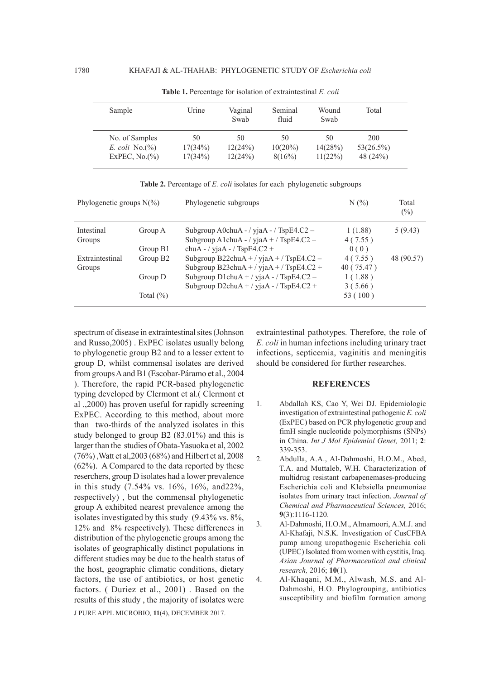| Sample           | Urine   | Vaginal<br>Swab | Seminal<br>fluid | Wound<br>Swab | Total     |
|------------------|---------|-----------------|------------------|---------------|-----------|
| No. of Samples   | 50      | 50              | 50               | 50            | 200       |
| E. coli $No.(%)$ | 17(34%) | 12(24%)         | $10(20\%)$       | 14(28%)       | 53(26.5%) |
| ExPEC, $No.(%)$  | 17(34%) | 12(24%)         | 8(16%)           | 11(22%)       | 48 (24%)  |

**Table 1.** Percentage for isolation of extraintestinal *E. coli*

| Phylogenetic groups $N(\%)$ |                                                 | Phylogenetic subgroups                                                                                                                                                           | $N(\%)$                                                 | Total<br>$(\%)$ |
|-----------------------------|-------------------------------------------------|----------------------------------------------------------------------------------------------------------------------------------------------------------------------------------|---------------------------------------------------------|-----------------|
| Intestinal<br>Groups        | Group A<br>Group B1                             | Subgroup A0chuA - / yjaA - / TspE4. $C2$ -<br>Subgroup A1chuA - / yjaA + / TspE4.C2 -<br>chuA - / yjaA - / TspE4.C2 +                                                            | 1(1.88)<br>4(7.55)<br>0(0)                              | 5(9.43)         |
| Extraintestinal<br>Groups   | Group B <sub>2</sub><br>Group D<br>Total $(\%)$ | Subgroup B22chuA + / yjaA + / TspE4.C2 -<br>Subgroup B23chu $A + /$ yja $A + /$ TspE4.C2 +<br>Subgroup D1chuA + / yjaA - / TspE4.C2 -<br>Subgroup D2chuA + / yjaA - / TspE4.C2 + | 4(7.55)<br>40 (75.47)<br>1(1.88)<br>3(5.66)<br>53 (100) | 48 (90.57)      |

**Table 2.** Percentage of *E. coli* isolates for each phylogenetic subgroups

J PURE APPL MICROBIO*,* **11**(4), DECEMBER 2017. spectrum of disease in extraintestinal sites (Johnson and Russo,2005) . ExPEC isolates usually belong to phylogenetic group B2 and to a lesser extent to group D, whilst commensal isolates are derived from groups A and B1 (Escobar-Páramo et al., 2004 ). Therefore, the rapid PCR-based phylogenetic typing developed by Clermont et al.( Clermont et al .,2000) has proven useful for rapidly screening ExPEC. According to this method, about more than two-thirds of the analyzed isolates in this study belonged to group B2 (83.01%) and this is larger than the studies of Obata-Yasuoka et al, 2002 (76%) ,Watt et al,2003 (68%) and Hilbert et al, 2008 (62%). A Compared to the data reported by these reserchers, group D isolates had a lower prevalence in this study (7.54% vs. 16%, 16%, and22%, respectively) , but the commensal phylogenetic group A exhibited nearest prevalence among the isolates investigated by this study (9.43% vs. 8%, 12% and 8% respectively). These differences in distribution of the phylogenetic groups among the isolates of geographically distinct populations in different studies may be due to the health status of the host, geographic climatic conditions, dietary factors, the use of antibiotics, or host genetic factors. ( Duriez et al., 2001) . Based on the results of this study , the majority of isolates were

extraintestinal pathotypes. Therefore, the role of *E. coli* in human infections including urinary tract infections, septicemia, vaginitis and meningitis should be considered for further researches.

### **REFERENCES**

- 1. Abdallah KS, Cao Y, Wei DJ. Epidemiologic investigation of extraintestinal pathogenic *E. coli* (ExPEC) based on PCR phylogenetic group and fimH single nucleotide polymorphisms (SNPs) in China. *Int J Mol Epidemiol Genet,* 2011; **2**: 339-353.
- 2. Abdulla, A.A., Al-Dahmoshi, H.O.M., Abed, T.A. and Muttaleb, W.H. Characterization of multidrug resistant carbapenemases-producing Escherichia coli and Klebsiella pneumoniae isolates from urinary tract infection. *Journal of Chemical and Pharmaceutical Sciences,* 2016; **9**(3):1116-1120.
- 3. Al-Dahmoshi, H.O.M., Almamoori, A.M.J. and Al-Khafaji, N.S.K. Investigation of CusCFBA pump among uropathogenic Escherichia coli (UPEC) Isolated from women with cystitis, Iraq. *Asian Journal of Pharmaceutical and clinical research,* 2016; **10**(1).
- 4. Al-Khaqani, M.M., Alwash, M.S. and Al-Dahmoshi, H.O. Phylogrouping, antibiotics susceptibility and biofilm formation among